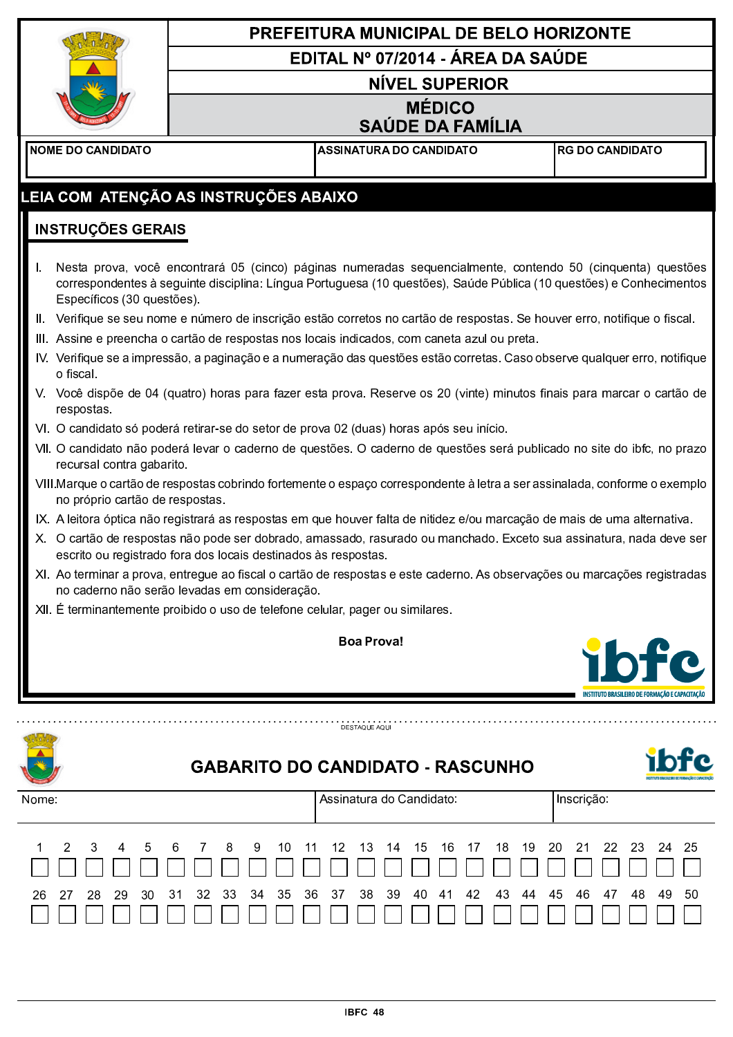

# PREFEITURA MUNICIPAL DE BELO HORIZONTE

EDITAL Nº 07/2014 - ÁREA DA SAÚDE

**NÍVEL SUPERIOR** 

# **MÉDICO**

# SAÚDE DA FAMÍLIA

NOME DO CANDIDATO

**ASSINATURA DO CANDIDATO** 

**RG DO CANDIDATO** 

# LEIA COM ATENÇÃO AS INSTRUÇÕES ABAIXO

# **INSTRUÇÕES GERAIS**

- $\mathbb{R}^n$ Nesta prova, você encontrará 05 (cinco) páginas numeradas seguencialmente, contendo 50 (cinguenta) guestões correspondentes à seguinte disciplina: Língua Portuguesa (10 questões), Saúde Pública (10 questões) e Conhecimentos Específicos (30 questões).
- II. Verifique se seu nome e número de inscrição estão corretos no cartão de respostas. Se houver erro, notifique o fiscal.
- III. Assine e preencha o cartão de respostas nos locais indicados, com caneta azul ou preta.
- IV. Verifique se a impressão, a paginação e a numeração das questões estão corretas. Caso observe qualquer erro, notifique o fiscal.
- V. Você dispõe de 04 (quatro) horas para fazer esta prova. Reserve os 20 (vinte) minutos finais para marcar o cartão de respostas
- VI. O candidato só poderá retirar-se do setor de prova 02 (duas) horas após seu início.
- VII. O candidato não poderá levar o caderno de questões. O caderno de questões será publicado no site do ibfc, no prazo recursal contra gabarito.
- VIII Marque o cartão de respostas cobrindo fortemente o espaço correspondente à letra a ser assinalada, conforme o exemplo no próprio cartão de respostas
- IX. A leitora óptica não registrará as respostas em que houver falta de nitidez e/ou marcação de mais de uma alternativa.
- X. O cartão de respostas não pode ser dobrado, amassado, rasurado ou manchado. Exceto sua assinatura, nada deve ser escrito ou registrado fora dos locais destinados às respostas.
- XI. Ao terminar a prova, entregue ao fiscal o cartão de respostas e este caderno. As observações ou marcações registradas no caderno não serão levadas em consideração.
- XII. È terminantemente proibido o uso de telefone celular, pager ou similares.

**Boa Prova!** 





# **GABARITO DO CANDIDATO - RASCUNHO**

Assinatura do Candidato:

DESTAQUE AQUI



Inscrição

|                                                                                                                      |  |  |  |  |  |  |  |  |  |  |  | 1 2 3 4 5 6 7 8 9 10 11 12 13 14 15 16 17 18 19 20 21 22 23 24 25          |  |
|----------------------------------------------------------------------------------------------------------------------|--|--|--|--|--|--|--|--|--|--|--|----------------------------------------------------------------------------|--|
|                                                                                                                      |  |  |  |  |  |  |  |  |  |  |  |                                                                            |  |
|                                                                                                                      |  |  |  |  |  |  |  |  |  |  |  | 26 27 28 29 30 31 32 33 34 35 36 37 38 39 40 41 42 43 44 45 46 47 48 49 50 |  |
| <u>FILITI FILITI FILITI FILITI FILITI FILITI FILITI FILITI FILITI FILITI FILITI FILITI FILITI FILITI FILITI FILI</u> |  |  |  |  |  |  |  |  |  |  |  |                                                                            |  |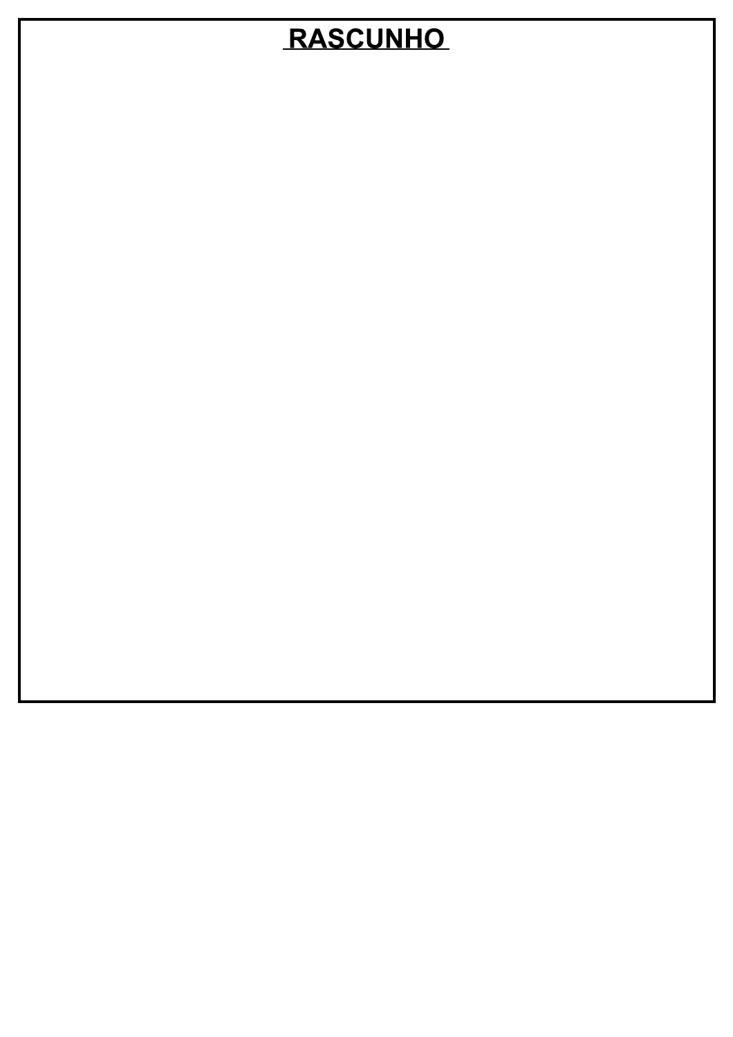# RASCUNHO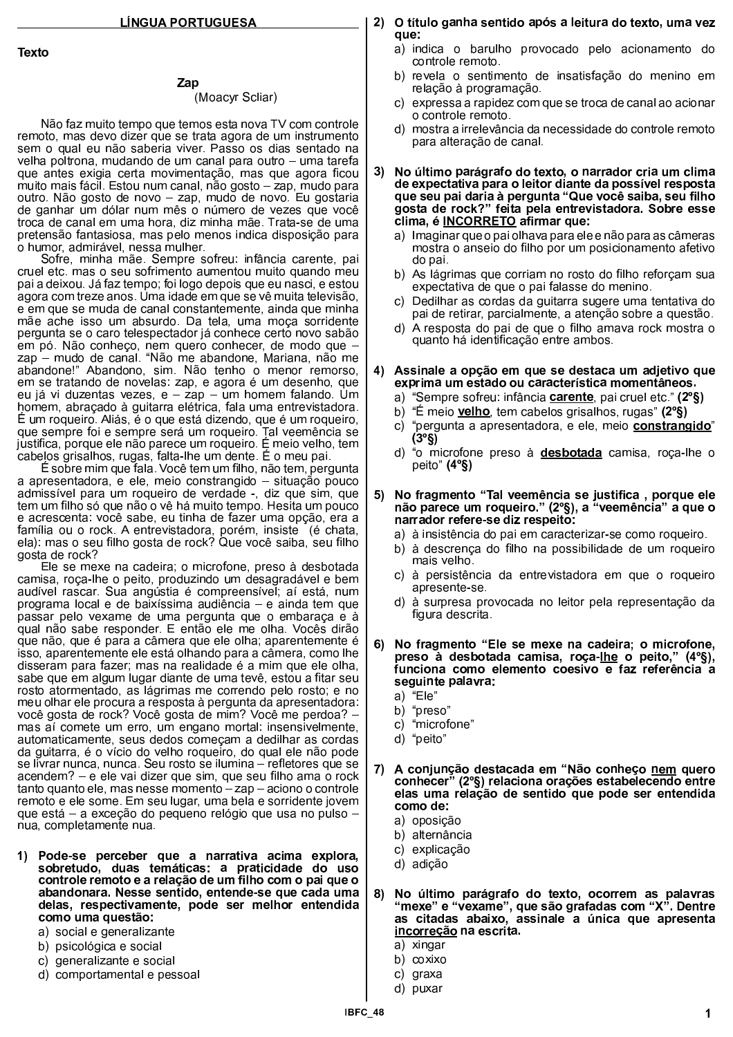## Zap

## (Moacyr Scliar)

Não faz muito tempo que temos esta nova TV com controle remoto, mas devo dizer que se trata agora de um instrumento sem o qual eu não saberia viver. Passo os dias sentado na velha poltrona, mudando de um canal para outro – uma tarefa que antes exigia certa movimentação, mas que agora ficou muito mais fácil. Estou num canal, não gosto – zap, mudo para outro. Não gosto de novo - zap, mudo de novo. Eu gostaria de ganhar um dólar num mês o número de vezes que você troca de canal em uma hora, diz minha mãe. Trata-se de uma pretensão fantasiosa, mas pelo menos indica disposição para o humor, admirável, nessa mulher.

Sofre, minha mãe. Sempre sofreu: infância carente, pai cruel etc. mas o seu sofrimento aumentou muito quando meu pai a deixou. Já faz tempo; foi logo depois que eu nasci, e estou agora com treze anos. Uma idade em que se vê muita televisão, e em que se muda de canal constantemente, ainda que minha mãe ache isso um absurdo. Da tela, uma moça sorridente pergunta se o caro telespectador já conhece certo novo sabão em pó. Não conheço, nem quero conhecer, de modo que -<br>zap - mudo de canal. "Não me abandone, Mariana, não me abandone!" Abandono, sim. Não tenho o menor remorso, em se tratando de novelas: zap, e agora é um desenho, que eu já vi duzentas vezes, e - zap - um homem falando. Um homem, abraçado à guitarra elétrica, fala uma entrevistadora. É um roqueiro. Aliás, é o que está dizendo, que é um roqueiro, que sempre foi e sempre será um roqueiro. Tal veemência se justifica, porque ele não parece um roqueiro. É meio velho, tem cabelos grisalhos, rugas, falta-lhe um dente. É o meu pai.<br>É sobre mim que fala. Você tem um filho, não tem, pergunta

a apresentadora, e ele, meio constrangido – situação pouco admissível para um roqueiro de verdade -, diz que sim, que tem um filho só que não o vê há muito tempo. Hesita um pouco e acrescenta: você sabe, eu tinha de fazer uma opção, era a família ou o rock. A entrevistadora, porém, insiste (é chata, ela): mas o seu filho gosta de rock? Que você saiba, seu filho gosta de rock?

Ele se mexe na cadeira; o microfone, preso à desbotada camisa, roça-lhe o peito, produzindo um desagradável e bem audível rascar Sua angústia é compreensível, aí está, num programa local e de baixíssima audiência – e ainda tem que passar pelo vexame de uma pergunta que o embaraça e à qual não sabe responder. E então ele me olha. Vocês dirão que não, que é para a câmera que ele olha; aparentemente é isso, aparentemente ele está olhando para a câmera, como lhe disseram para fazer; mas na realidade é a mim que ele olha, sabe que em algum lugar diante de uma tevê, estou a fitar seu rosto atormentado, as lágrimas me correndo pelo rosto; e no meu olhar ele procura a resposta à pergunta da apresentadora: você gosta de rock? Você gosta de mim? Você me perdoa? mas aí comete um erro, um engano mortal: insensivelmente, automaticamente, seus dedos começam a dedilhar as cordas da guitarra, é o vício do velho roqueiro, do qual ele não pode se livrar nunca, nunca. Seu rosto se ilumina – refletores que se acendem? – e ele vai dizer que sim, que seu filho ama o rock tanto quanto ele, mas nesse momento - zap - aciono o controle remoto e ele some. Em seu lugar, uma bela e sorridente jovem que está - a exceção do pequeno relógio que usa no pulso nua, completamente nua

- 1) Pode-se perceber que a narrativa acima explora, sobretudo, duas temáticas: a praticidade do uso controle remoto e a relação de um filho com o pai que o abandonara. Nesse sentido, entende-se que cada uma delas, respectivamente, pode ser melhor entendida como uma questão:
	- a) social e generalizante
	- b) psicológica e social
	- c) generalizante e social
	- d) comportamental e pessoal
- 2) O título ganha sentido após a leitura do texto, uma vez que:
	- a) indica o barulho provocado pelo acionamento do controle remoto.
	- b) revela o sentimento de insatisfação do menino em relação à programação
	- c) expressa a rapidez com que se troca de canal ao acionar o controle remoto.
	- d) mostra a irrelevância da necessidade do controle remoto para alteração de canal.
- 3) No último parágrafo do texto, o narrador cria um clima de expectativa para o leitor diante da possível resposta que seu pai daria à pergunta "Que você saiba, seu filho gosta de rock?" feita pela entrevistadora. Sobre esse clima, é INCORRETO afirmar que:
	- a) Imaginar que o pai olhava para ele e não para as câmeras mostra o anseio do filho por um posicionamento afetivo do pai.
	- b) As lágrimas que corriam no rosto do filho reforçam sua expectativa de que o pai falasse do menino.
	- c) Dedilhar as cordas da guitarra sugere uma tentativa do pai de retirar, parcialmente, a atenção sobre a questão.
	- d) A resposta do pai de que o filho amava rock mostra o quanto há identificação entre ambos.
- 4) Assinale a opção em que se destaca um adjetivo que exprima um estado ou característica momentâneos.
	- a) "Sempre sofreu: infância *carente*, pai cruel etc." (2°§)
	- b) "É meio **velho**, tem cabelos grisalhos, rugas" ( $2^{\circ}$ §)
	- c) "pergunta a apresentadora, e ele, meio constrangido"  $(3°\S)$
	- d) "o microfone preso à desbotada camisa, roça-lhe o peito" (4°§)
- 5) No fragmento "Tal veemência se justifica, porque ele não parece um roqueiro." (2°§), a "veemência" a que o narrador refere-se diz respeito:
	- a) à insistência do pai em caracterizar-se como roqueiro.
	- b) à descrença do filho na possibilidade de um roqueiro mais velho.
	- c) à persistência da entrevistadora em que o roqueiro apresente-se.
	- d) à surpresa provocada no leitor pela representação da figura descrita
- 6) No fragmento "Ele se mexe na cadeira; o microfone, preso à desbotada camisa, roça-lhe o peito," (4°§), funciona como elemento coesivo e faz referência a seguinte palavra:
	- a) "Ele"
	- b) "preso"
	- "microfone"  $\mathbf{C}$
	- d) "peito"
- 7) A conjunção destacada em "Não conheço nem quero conhecer" (2°§) relaciona orações estabelecendo entre elas uma relação de sentido que pode ser entendida como de:
	- a) oposição
	- b) alternância
	- c) explicação
	- d) adicão
- 8) No último parágrafo do texto, ocorrem as palavras "mexe" e "vexame", que são grafadas com "X". Dentre<br>as citadas abaixo, assinale a única que apresenta <u>incorreção</u> na escrita.
	- a) xingar
	- b) coxixo
	- c) graxa
	- d) puxar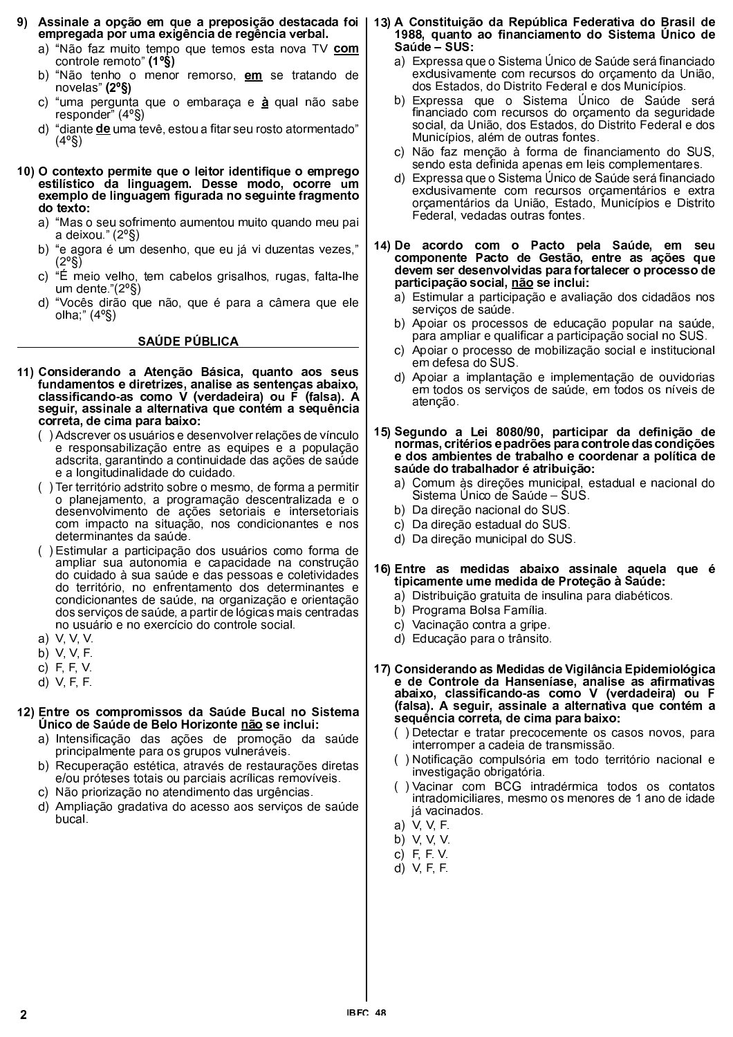- 9) Assinale a opção em que a preposição destacada foi | empregada por uma exigência de regência verbal.
	- a) "Não faz muito tempo que temos esta nova TV com controle remoto" (1°§)
	- b) "Não tenho o menor remorso, em se tratando de novelas" (2°§)
	- c) "uma pergunta que o embaraça e à qual não sabe responder" (4°§)
	- d) "diante *de* uma tevê, estou a fitar seu rosto atormentado"  $(4°\S)$
- 10) O contexto permite que o leitor identifique o emprego estilístico da linguagem. Desse modo, ocorre um exemplo de linguagem figurada no seguinte fragmento do texto:
	- a) "Mas o seu sofrimento aumentou muito quando meu pai a deixou " (2°§)
	- "e agora é um desenho, que eu já vi duzentas vezes," b)  $(2°\S)$
	- "É meio velho, tem cabelos grisalhos, rugas, falta-lhe C) um dente "(2°§)
	- d) "Vocês dirão que não, que é para a câmera que ele olha;"  $(4°§)$

## <u>SAÚDE PÚBLICA</u>

- 11) Considerando a Atenção Básica, quanto aos seus fundamentos e diretrizes, analise as sentenças abaixo, classificando-as como V (verdadeira) ou F (falsa). A seguir, assinale a alternativa que contém a sequência correta, de cima para baixo:
	- () Adscrever os usuários e desenvolver relações de vínculo e responsabilização entre as equipes e a população adscrita, garantindo a continuidade das ações de saúde e a longitudinalidade do cuidado.
	- () Ter território adstrito sobre o mesmo, de forma a permitir o planejamento, a programação descentralizada e o desenvolvimento de ações setoriais e intersetoriais com impacto na situação, nos condicionantes e nos determinantes da saúde
	- () Estimular a participação dos usuários como forma de ampliar sua autonomia e capacidade na construção do cuidado à sua saúde e das pessoas e coletividades do território, no enfrentamento dos determinantes e condicionantes de saúde, na organização e orientação dos serviços de saúde, a partir de lógicas mais centradas no usuário e no exercício do controle social.
	- a) V, V, V
	- b) V, V, F.
	- c) F, F, V.
	- $d) V. F. F.$
- 12) Entre os compromissos da Saúde Bucal no Sistema Único de Saúde de Belo Horizonte não se inclui:
	- a) Intensificação das ações de promoção da saúde<br>principalmente para os grupos vulneráveis.
	- b) Recuperação estética, através de restaurações diretas e/ou próteses totais ou parciais acrílicas removíveis.
	- c) Não priorização no atendimento das urgências.
	- d) Ampliação gradativa do acesso aos serviços de saúde bucal
- 13) A Constituição da República Federativa do Brasil de 1988, quanto ao financiamento do Sistema Único de Saúde – SUS:
	- a) Expressa que o Sistema Único de Saúde será financiado exclusivamente com recursos do orçamento da União, dos Estados, do Distrito Federal e dos Municípios.
	- b) Expressa que o Sistema Único de Saúde será financiado com recursos do orçamento da seguridade social, da União, dos Estados, do Distrito Federal e dos Municípios, além de outras fontes.
	- c) Não faz menção à forma de financiamento do SUS, sendo esta definida apenas em leis complementares.
	- d) Expressa que o Sistema Unico de Saúde será financiado exclusivamente com recursos orçamentários e extra orçamentários da União, Estado, Municípios e Distrito Federal, vedadas outras fontes.
- 14) De acordo com o Pacto pela Saúde, em seu componente Pacto de Gestão, entre as ações que devem ser desenvolvidas para fortalecer o processo de participação social, não se inclui:
	- a) Estimular a participação e avaliação dos cidadãos nos serviços de saúde.
	- b) Apoiar os processos de educação popular na saúde, para ampliar e qualificar a participação social no SUS.
	- c) Apoiar o processo de mobilização social e institucional em defesa do SUS.
	- d) Apoiar a implantação e implementação de ouvidorias em todos os serviços de saúde, em todos os níveis de atenção.
- 15) Segundo a Lei 8080/90, participar da definição de normas, critérios e padrões para controle das condições e dos ambientes de trabalho e coordenar a política de saúde do trabalhador é atribuição:
	- Comum às direções municipal, estadual e nacional do a) Sistema Único de Saúde - SUS.
	- b) Da direção nacional do SUS.
	- c) Da direção estadual do SUS
	- d) Da direção municipal do SUS.
- 16) Entre as medidas abaixo assinale aquela que é tipicamente ume medida de Proteção à Saúde:
	- a) Distribuição gratuita de insulina para diabéticos.
	- b) Programa Bolsa Família.
	- c) Vacinação contra a gripe
	- d) Educação para o trânsito.
- 17) Considerando as Medidas de Vigilância Epidemiológica e de Controle da Hanseníase, analise as afirmativas abaixo, classificando-as como V (verdadeira) ou F (falsa). A seguir, assinale a alternativa que contém a sequência correta, de cima para baixo:
	- () Detectar e tratar precocemente os casos novos, para interromper a cadeia de transmissão.
	- () Notificação compulsória em todo território nacional e investigação obrigatória
	- () Vacinar com BCG intradérmica todos os contatos intradomiciliares, mesmo os menores de 1 ano de idade já vacinados.
	- a) V, V, F.
	- b)  $V$ ,  $V$ ,  $V$
	- c)  $F, F, V$
	- d) V, F, F.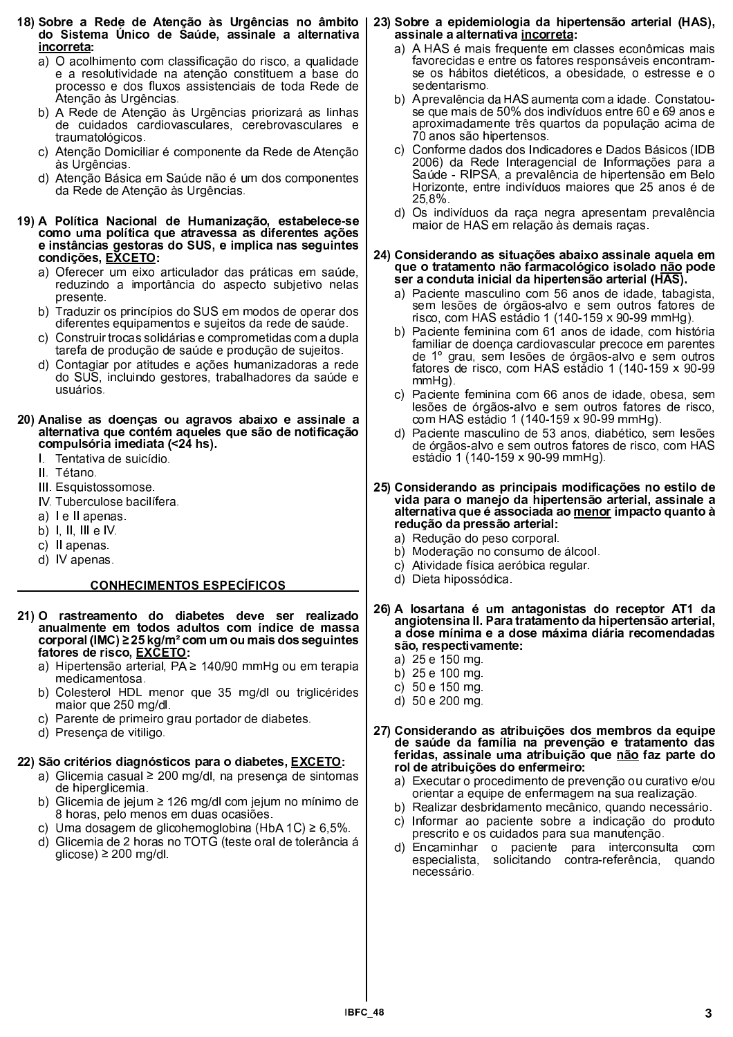- 18) Sobre a Rede de Atenção às Urgências no âmbito do Sistema Único de Šaúde, assinale a alternativa incorreta:
	- a) O acolhimento com classificação do risco, a qualidade e a resolutividade na atenção constituem a base do processo e dos fluxos assistenciais de toda Rede de Atenção às Urgências
	- b) A Rede de Atenção às Urgências priorizará as linhas de cuidados cardiovasculares, cerebrovasculares e traumatológicos.
	- Atenção Domiciliar é componente da Rede de Atenção  $\mathbf{C}$ às Urgências.
	- d) Atenção Básica em Saúde não é um dos componentes da Rede de Atenção às Urgências.

#### 19) A Política Nacional de Humanização, estabelece-se como uma política que atravessa as diferentes ações e instâncias gestoras do SUS, e implica nas seguintes condições, EXCETO:

- a) Oferecer um eixo articulador das práticas em saúde, reduzindo a importância do aspecto subjetivo nelas presente.
- b) Traduzir os princípios do SUS em modos de operar dos diferentes equipamentos e sujeitos da rede de saúde.
- Construir trocas solidárias e comprometidas com a dupla tarefa de produção de saúde e produção de sujeitos.
- d) Contagiar por atitudes e ações humanizadoras a rede do SUS, incluindo gestores, trabalhadores da saúde e usuários

#### 20) Analise as doenças ou agravos abaixo e assinale a alternativa que contém aqueles que são de notificação compulsória imediata (<24 hs).

- Tentativa de suicídio
- II. Tétano.
- III. Esquistossomose.
- IV Tuberculose bacilífera.
- a) lellapenas
- b) I, II, III e IV.
- c) Il apenas.
- d) IV apenas

# <u>CONHECIMENTOS ESPECÍFICOS</u>

- 21) O rastreamento do diabetes deve ser realizado anualmente em todos adultos com índice de massa<br>corporal (IMC) ≥ 25 kg/m<sup>2</sup> com um ou mais dos seguintes fatores de risco, EXCETO:
	- a) Hipertensão arterial, PA ≥ 140/90 mmHg ou em terapia medicamentosa
	- b) Colesterol HDL menor que 35 mg/dl ou triglicérides maior que 250 mg/dl.
	- c) Parente de primeiro grau portador de diabetes.
	- d) Presença de vitiligo.

# 22) São critérios diagnósticos para o diabetes, EXCETO:

- a) Glicemia casual ≥ 200 mg/dl, na presenca de sintomas de hiperglicemia.
- b) Glicemia de jejum ≥ 126 mg/dl com jejum no mínimo de 8 horas, pelo menos em duas ocasiões.
- c) Uma dosagem de glicohemoglobina (HbA 1C)  $\geq 6.5\%$ .
- d) Glicemia de 2 horas no TOTG (teste oral de tolerância á  $glicose$ )  $\geq$  200 mg/dl.

#### 23) Sobre a epidemiologia da hipertensão arterial (HAS). assinale a alternativa incorreta:

- a) A HAS é mais frequente em classes econômicas mais favorecidas e entre os fatores responsáveis encontramse os hábitos dietéticos, a obesidade, o estresse e o sedentarismo.
- b) Aprevalência da HAS aumenta com a idade Constatouse que mais de 50% dos indivíduos entre 60 e 69 anos e aproximadamente três quartos da população acima de 70 anos são hipertensos.
- c) Conforme dados dos Indicadores e Dados Básicos (IDB 2006) da Rede Interagencial de Informações para a Saúde - RIPSA, a prevalência de hipertensão em Belo Horizonte, entre indivíduos maiores que 25 anos é de 25.8%
- d) Os indivíduos da raça negra apresentam prevalência maior de HAS em relação às demais raças.
- 24) Considerando as situações abaixo assinale aquela em que o tratamento não farmacológico isolado não pode ser a conduta inicial da hipertensão arterial (HAS).
	- a) Paciente masculino com 56 anos de idade, tabagista, sem lesões de órgãos-alvo e sem outros fatores de risco, com HAS estádio 1 (140-159 x 90-99 mmHg).
	- b) Paciente feminina com 61 anos de idade, com história familiar de doença cardiovascular precoce em parentes de 1º grau, sem lesões de órgãos-alvo e sem outros fatores de risco, com HAS estádio 1 (140-159 x 90-99  $mmHg$ ).
	- c) Paciente feminina com 66 anos de idade, obesa, sem lesões de órgãos-alvo e sem outros fatores de risco, com HAS estádio 1 (140-159 x 90-99 mmHg).
	- d) Paciente masculino de 53 anos, diabético, sem lesões de órgãos-alvo e sem outros fatores de risco, com HAS estádio 1 (140-159 x 90-99 mmHg).

#### 25) Considerando as principais modificações no estilo de vida para o manejo da hipertensão arterial, assinale a alternativa que é associada ao menor impacto quanto à redução da pressão arterial:

- a) Redução do peso corporal.
- b) Moderação no consumo de álcool.
- Atividade física aeróbica regular.  $\mathbf{C}$
- d) Dieta hipossódica.
- 26) A losartana é um antagonistas do receptor AT1 da angiotensina II. Para tratamento da hipertensão arterial, a dose mínima e a dose máxima diária recomendadas são, respectivamente:
	- a) 25 e 150 mg
	- b) 25 e 100 mg
	- c) 50 e 150 mg
	- d) 50 e 200 mg
- 27) Considerando as atribuições dos membros da equipe de saúde da família na prevenção e tratamento das feridas, assinale uma atribuição que não faz parte do rol de atribuições do enfermeiro:
	- a) Executar o procedimento de prevenção ou curativo e/ou orientar a equipe de enfermagem na sua realização.
	- b) Realizar desbridamento mecânico, quando necessário.
	- Informar ao paciente sobre a indicação do produto  $\mathbf{C}$ prescrito e os cuidados para sua manutenção.
	- d) Encaminhar o paciente para interconsulta com especialista, solicitando contra-referência, quando necessário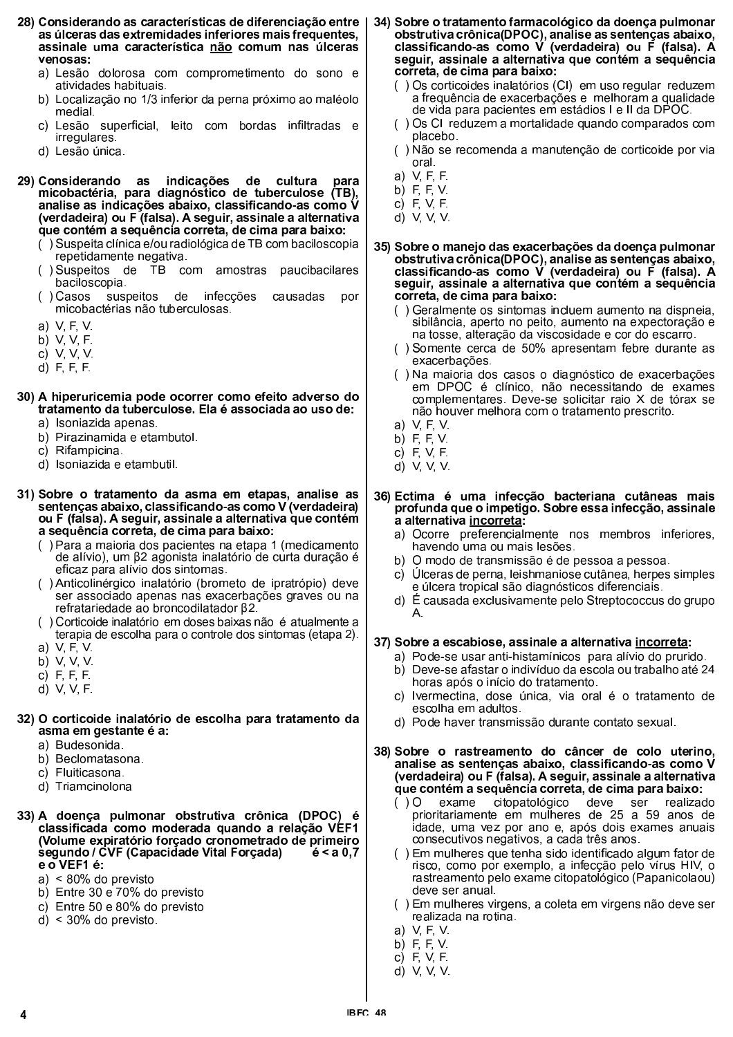- 28) Considerando as características de diferenciação entre as úlceras das extremidades inferiores mais frequentes, assinale uma característica não comum nas úlceras  $\lambda$  is a k  $\lambda$   $\lambda$   $\lambda$ 
	- a) Lesão dolorosa com comprometimento do sono e atividades habituais.
	- b) Localização no 1/3 inferior da perna próximo ao maléolo medial.
	- c) Lesão superficial, leito com bordas infiltradas e irregulares
	- d) Lesão única
- 29) Considerando as indicações de cultura para micobactéria, para diagnóstico de tuberculose (TB). analise as indicações abaixo, classificando-as como V ^ <sup>N</sup> <sup>O</sup> <sup>M</sup> <sup>P</sup> <sup>M</sup> <sup>N</sup> <sup>L</sup> <sup>O</sup> <sup>P</sup> <sup>G</sup> <sup>I</sup> \ <sup>T</sup> <sup>P</sup> <sup>X</sup> <sup>K</sup> <sup>P</sup> <sup>G</sup> <sup>K</sup> <sup>N</sup> \ <sup>L</sup> <sup>O</sup> ] <sup>P</sup> <sup>K</sup> <sup>K</sup> <sup>L</sup> <sup>J</sup> <sup>P</sup> <sup>X</sup> <sup>N</sup> <sup>P</sup> <sup>P</sup> <sup>X</sup> <sup>R</sup> <sup>N</sup> <sup>O</sup> <sup>J</sup> <sup>P</sup> <sup>R</sup> <sup>L</sup> ^ <sup>P</sup> que contém a sequência correta, de cima para baixo:
	- $\ell \rightarrow$  0 i s n s it a plinter of c i sadio lánico de TD com homileacont repetidamente negativa.
	- $\left( \begin{array}{ccc} \lambda & \text{if } \Omega \\ \end{array} \right)$  and  $\left( \begin{array}{ccc} \lambda & \text{if } \Omega \\ \end{array} \right)$  is in the set of  $\left( \begin{array}{ccc} \lambda & \text{if } \Omega \\ \end{array} \right)$  is in the set of  $\left( \begin{array}{ccc} \lambda & \text{if } \Omega \\ \end{array} \right)$ baciloscopia.
	- $( )$  Casos suspeitos de infecções causadas por micobactérias não tuberculosas.
	- a) V, F, V.
	- b) V, V, F.
	- c) V, V, V.
	- d)  $F, F, F$
- 20) A binavuriaamia nada aaaway aamaa afaita adusyaa d tratamento da tuberculose. Ela é associada ao uso de:
	- a) Isoniazida apenas
	- b) Pirazinamida e etambutol.
	- c) Rifampicina
	- d) Isoniazida e etambutil.
- 31) Sobre o tratamento da asma em etapas, analise as as ntan ga a shaiya , alaagifi gan da aa aama N / wuxda dalugi  $\ldots$   $\blacksquare$  /false). A sequity section le s alternative que senti a sequência correta, de cima para baixo:
	- $\ell$  ) Dese a sector decreasement on the  $\ell$   $\ell$  and discussed de alívio), um β2 agonista inalatório de curta duração é eficaz para alívio dos sintomas.
	- $\ell \rightarrow$  Anti-selin france in sletting (bromate de investration) devi ser associado apenas nas exacerbações graves ou na  $refratariedade$  ao broncodilatador  $\beta$ 2.
	- $\ell$  in Castiac is a fatosic case decore between  $\alpha$  and a function of  $\ell$ taxay is da aasalka waxa a saytista dag siytaysas (staxa  $\Omega$ )
	- a) V, F, V
	- $\overrightarrow{b}$  V, V, V
	- c)  $F, F, F$
	- $d)$  V, V, F.
- 32) O corticoide inalatório de escolha para tratamento da asma em gestante é a:
	- a) Budesonida.
	- b) Beclomatasona.
	- c) Fluiticasona.
	- d) Triamcinolona
	-
- $\mathcal{L}(\mathbf{A}) = \mathbf{A} \mathbf{A} + \mathbf{A} \mathbf{A} + \mathbf{A} \mathbf{A} + \mathbf{A} \mathbf{A} + \mathbf{A} \mathbf{A} + \mathbf{A} \mathbf{A} + \mathbf{A} \mathbf{A} + \mathbf{A} \mathbf{A} + \mathbf{A} \mathbf{A} + \mathbf{A} \mathbf{A} + \mathbf{A} \mathbf{A} + \mathbf{A} \mathbf{A} + \mathbf{A} \mathbf{A} + \mathbf{A} \mathbf{A} + \mathbf{A} \mathbf{A} + \mathbf{A} \mathbf{A}$ classificada como moderada quando a relação VEF1 (Volume expiratório forçado cronometrado de primeiro  $S$  segundo / CVF (Capacidade Vital Forçada)  $6 < a$  0,7 e o VEF1 é:
	- $a$ ) < 80% do previsto
	- b) Entre 30 e 70% do previsto
	- c) Entre 50 e 80% do previsto
	- $d$ ) < 30% do previsto
- 34) Sobre o tratamento farmacológico da doenca pulmonar skatuutiise avâniae/DDOO), analiae ee oonteneee eksive  $\lambda$  be a state of a component  $M$  from dedicate  $\lambda$  and  $\Gamma$  follow  $\lambda$ the product of the second contract of the contract of the second second second second second second second second second second second second second second second second second second second second second second second sec correta, de cima para baixo:
	- $\ell \geq 0$  continuidad in datánica  $\ell \cap \mathbb{N}$  and i continue in different a frequência de exacerbações e melhoram a qualidade de vida para pacientes em estádios I e II da DPOC.
	- $\ell \ge 0$  and  $\ell$  is a sequence of the set of  $\ell$  in  $\ell$  is a group of  $\ell$  or  $\ell$  in  $\ell$  is the integration of  $\ell$ placebo.
	- $\ell$  . Also so so go an endo o so subsequente do continuado sos  $\mu$ oral.
	- $a) V, F, F$
	- b)  $F F V$
	- c)  $F V F$
	- $d) V. V. V.$
- 35) Sobre o manejo das exacerbações da doença pulmonar  $\mathsf{F}$  between  $\mathsf{F}$  and  $\mathsf{F}$  and  $\mathsf{F}$   $\mathsf{F}$   $\mathsf{F}$   $\mathsf{F}$   $\mathsf{F}$  and  $\mathsf{F}$  are a property of  $\mathsf{F}$  and  $\mathsf{F}$  $\lambda$ leeeificerde ee eerse  $M$  (verdedsire) en E (felee) the product of the second contract of the contract of the second second second second second second second second second second second second second second second second second second second second second second second sec correta, de cima para baixo:
	- $\ell \rightarrow \infty$  c is contained a contained in discussed as proposed on discussion sibilância, aperto no peito, aumento na expectoração e na tosse, alteração da viscosidade e cor do escarro.
	- $\ell$  ) Comente comes de  $E00\ell$  comentation febre dumants s exacerbações.
	- $\ell$  ) N  $\sim$  measure dee eases a dissussible de evenimente cus Illii i a ciusac coc cocococococo de cusuo aanaalanaantanaa liain aa aaladan wala V aa tanay a não houver melhora com o tratamento prescrito.
	- $a) V. F. V.$
	- b)  $F, F, V$
	- c)  $F, V, F$
	- $d) V, V, V$
- 36) Ectima é uma infecção bacteriana cutâneas mais profunda que o impetigo. Sobre essa infecção, assinale e elección división de la consta
	- a) Ocorre preferencialmente nos membros inferiores, havendo uma ou mais lesões.
	- b) O modo de transmissão é de pessoa a pessoa.
	- c) Úlceras de perna, leishmaniose cutânea, herpes simples e úlcera tropical são diagnósticos diferenciais
	- d) É causada exclusivamente pelo Streptococcus do grupo  $\overline{A}$

#### 97) Cabus a sosabingo sooingle o alteunative incouncte

- a) Pode-se usar anti-histamínicos para alívio do prurido.
- b) Deve-se afastar o indivíduo da escola ou trabalho até 24 horas após o início do tratamento.
- c) lvermectina, dose única, via oral é o tratamento de escolha em adultos
- d) Pode haver transmissão durante contato sexual.
- 38) Sobre o rastreamento do câncer de colo uterino, analise as sentencas abaixo, classificando-as como V  $\lambda$  , and adolest on  $\Gamma$  (foloo). A construction of the months que contém a sequência correta, de cima para baixo:
	- $()$  $\mathcal{M}$  customes characteristic della calculation in  $\mathcal{M}$ <sup>l</sup> <sup>i</sup> <sup>n</sup> <sup>f</sup> <sup>i</sup> <sup>n</sup> <sup>m</sup> ` <sup>i</sup> <sup>n</sup> ` <sup>k</sup> <sup>c</sup> <sup>o</sup> <sup>m</sup> <sup>c</sup> <sup>c</sup> <sup>k</sup> <sup>k</sup> <sup>s</sup> <sup>h</sup> <sup>q</sup> <sup>c</sup> <sup>i</sup> <sup>c</sup> <sup>d</sup> <sup>g</sup> <sup>c</sup> ¦ <sup>µ</sup> ` <sup>µ</sup> <sup>Ç</sup> ` <sup>o</sup> <sup>f</sup> <sup>d</sup> <sup>g</sup> <sup>c</sup> idade, uma vez por ano e, após dois exames anuais consecutivos negativos, a cada três anos
	- $\ell$   $\lambda$  F s and lease and take and a d satisfied a shown fatas d risco, como por exemplo, a infecção pelo vírus HIV, o restraces ato nale evening citangletánica (Denomiaelas), deve ser anual
	- $\ell$   $\lambda$  F is reduced the second condition of the condition of  $\lambda$  and  $\lambda$  c condition of  $\lambda$ realizada na rotina
	- $a)$  V, F, V
	- b)  $F, F, V$
	- c)  $F, V, F$
	- d) V, V, V.